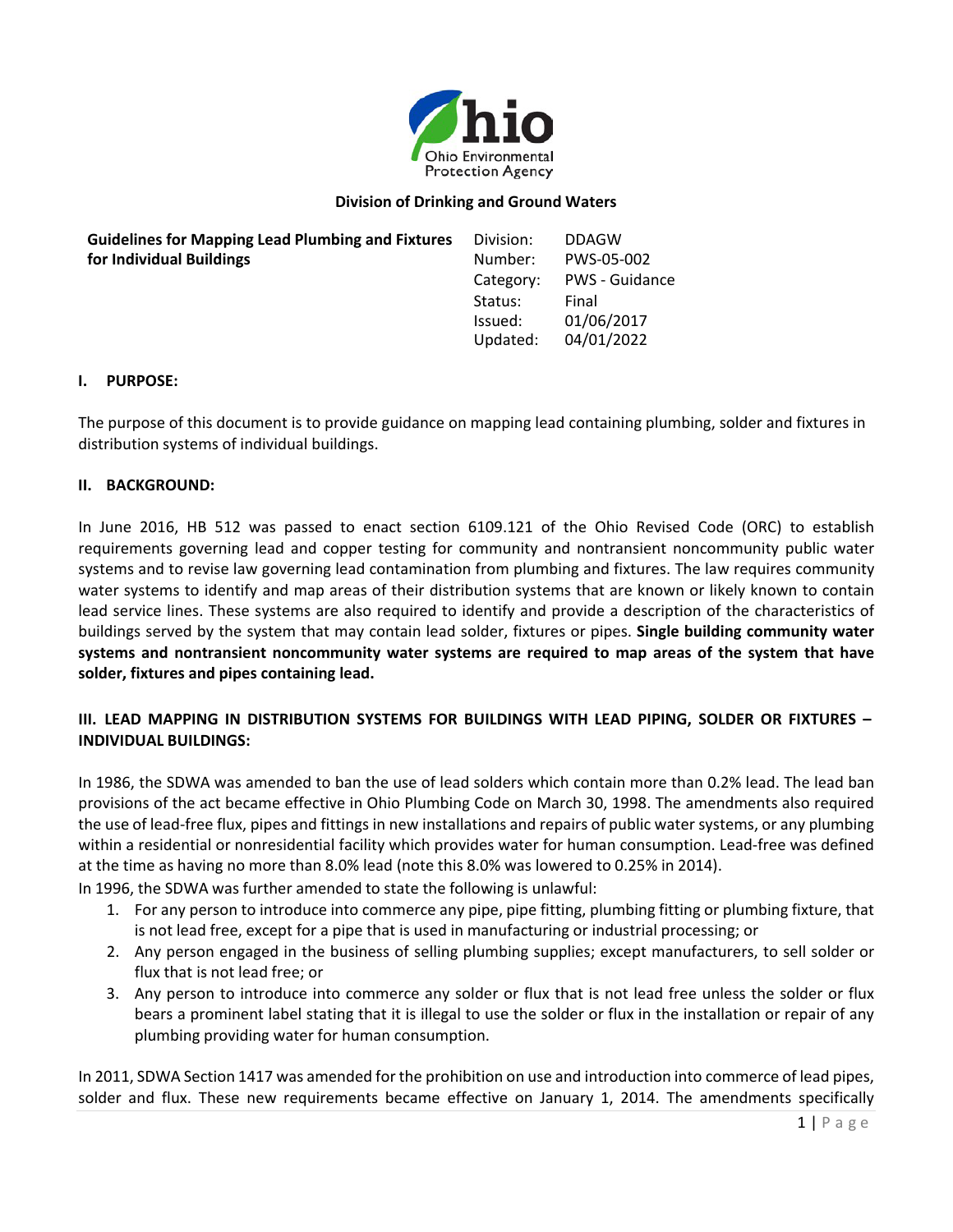

## **Division of Drinking and Ground Waters**

| <b>Guidelines for Mapping Lead Plumbing and Fixtures</b> | Division: | <b>DDAGW</b>          |
|----------------------------------------------------------|-----------|-----------------------|
| for Individual Buildings                                 | Number:   | PWS-05-002            |
|                                                          | Category: | <b>PWS - Guidance</b> |
|                                                          | Status:   | Final                 |
|                                                          | Issued:   | 01/06/2017            |
|                                                          | Updated:  | 04/01/2022            |
|                                                          |           |                       |

### **I. PURPOSE:**

The purpose of this document is to provide guidance on mapping lead containing plumbing, solder and fixtures in distribution systems of individual buildings.

### **II. BACKGROUND:**

In June 2016, HB 512 was passed to enact section 6109.121 of the Ohio Revised Code (ORC) to establish requirements governing lead and copper testing for community and nontransient noncommunity public water systems and to revise law governing lead contamination from plumbing and fixtures. The law requires community water systems to identify and map areas of their distribution systems that are known or likely known to contain lead service lines. These systems are also required to identify and provide a description of the characteristics of buildings served by the system that may contain lead solder, fixtures or pipes. **Single building community water systems and nontransient noncommunity water systems are required to map areas of the system that have solder, fixtures and pipes containing lead.**

# **III. LEAD MAPPING IN DISTRIBUTION SYSTEMS FOR BUILDINGS WITH LEAD PIPING, SOLDER OR FIXTURES – INDIVIDUAL BUILDINGS:**

In 1986, the SDWA was amended to ban the use of lead solders which contain more than 0.2% lead. The lead ban provisions of the act became effective in Ohio Plumbing Code on March 30, 1998. The amendments also required the use of lead-free flux, pipes and fittings in new installations and repairs of public water systems, or any plumbing within a residential or nonresidential facility which provides water for human consumption. Lead-free was defined at the time as having no more than 8.0% lead (note this 8.0% was lowered to 0.25% in 2014).

In 1996, the SDWA was further amended to state the following is unlawful:

- 1. For any person to introduce into commerce any pipe, pipe fitting, plumbing fitting or plumbing fixture, that is not lead free, except for a pipe that is used in manufacturing or industrial processing; or
- 2. Any person engaged in the business of selling plumbing supplies; except manufacturers, to sell solder or flux that is not lead free; or
- 3. Any person to introduce into commerce any solder or flux that is not lead free unless the solder or flux bears a prominent label stating that it is illegal to use the solder or flux in the installation or repair of any plumbing providing water for human consumption.

In 2011, SDWA Section 1417 was amended for the prohibition on use and introduction into commerce of lead pipes, solder and flux. These new requirements became effective on January 1, 2014. The amendments specifically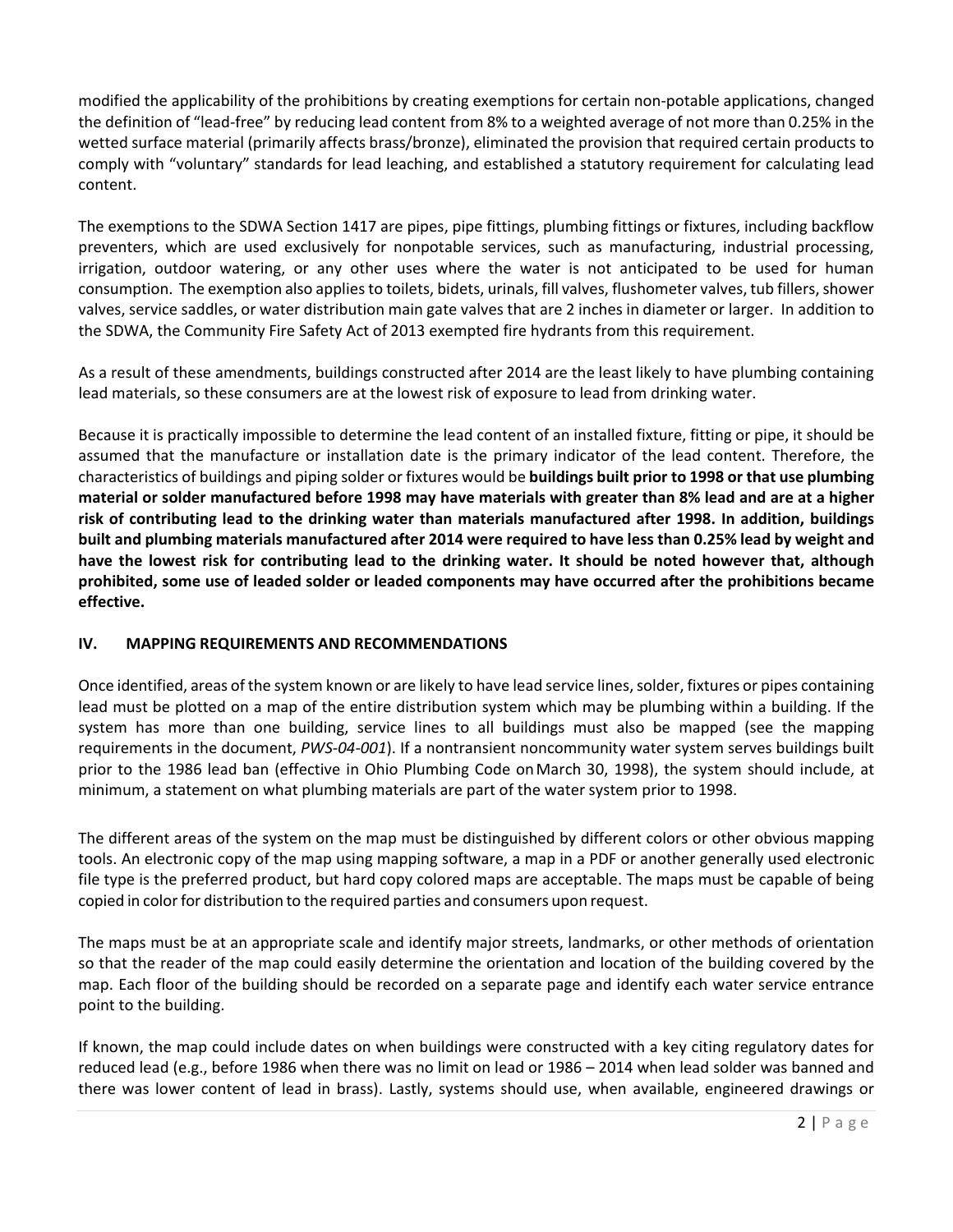modified the applicability of the prohibitions by creating exemptions for certain non-potable applications, changed the definition of "lead-free" by reducing lead content from 8% to a weighted average of not more than 0.25% in the wetted surface material (primarily affects brass/bronze), eliminated the provision that required certain products to comply with "voluntary" standards for lead leaching, and established a statutory requirement for calculating lead content.

The exemptions to the SDWA Section 1417 are pipes, pipe fittings, plumbing fittings or fixtures, including backflow preventers, which are used exclusively for nonpotable services, such as manufacturing, industrial processing, irrigation, outdoor watering, or any other uses where the water is not anticipated to be used for human consumption. The exemption also applies to toilets, bidets, urinals, fill valves, flushometer valves, tub fillers, shower valves, service saddles, or water distribution main gate valves that are 2 inches in diameter or larger. In addition to the SDWA, the Community Fire Safety Act of 2013 exempted fire hydrants from this requirement.

As a result of these amendments, buildings constructed after 2014 are the least likely to have plumbing containing lead materials, so these consumers are at the lowest risk of exposure to lead from drinking water.

Because it is practically impossible to determine the lead content of an installed fixture, fitting or pipe, it should be assumed that the manufacture or installation date is the primary indicator of the lead content. Therefore, the characteristics of buildings and piping solder or fixtures would be **buildings built prior to 1998 or that use plumbing material or solder manufactured before 1998 may have materials with greater than 8% lead and are at a higher risk of contributing lead to the drinking water than materials manufactured after 1998. In addition, buildings** built and plumbing materials manufactured after 2014 were required to have less than 0.25% lead by weight and **have the lowest risk for contributing lead to the drinking water. It should be noted however that, although prohibited, some use of leaded solder or leaded components may have occurred after the prohibitions became effective.**

# **IV. MAPPING REQUIREMENTS AND RECOMMENDATIONS**

Once identified, areas of the system known or are likely to have lead service lines, solder, fixtures or pipes containing lead must be plotted on a map of the entire distribution system which may be plumbing within a building. If the system has more than one building, service lines to all buildings must also be mapped (see the mapping requirements in the document, *PWS-04-001*). If a nontransient noncommunity water system serves buildings built prior to the 1986 lead ban (effective in Ohio Plumbing Code onMarch 30, 1998), the system should include, at minimum, a statement on what plumbing materials are part of the water system prior to 1998.

The different areas of the system on the map must be distinguished by different colors or other obvious mapping tools. An electronic copy of the map using mapping software, a map in a PDF or another generally used electronic file type is the preferred product, but hard copy colored maps are acceptable. The maps must be capable of being copied in color for distribution to the required parties and consumers upon request.

The maps must be at an appropriate scale and identify major streets, landmarks, or other methods of orientation so that the reader of the map could easily determine the orientation and location of the building covered by the map. Each floor of the building should be recorded on a separate page and identify each water service entrance point to the building.

If known, the map could include dates on when buildings were constructed with a key citing regulatory dates for reduced lead (e.g., before 1986 when there was no limit on lead or 1986 – 2014 when lead solder was banned and there was lower content of lead in brass). Lastly, systems should use, when available, engineered drawings or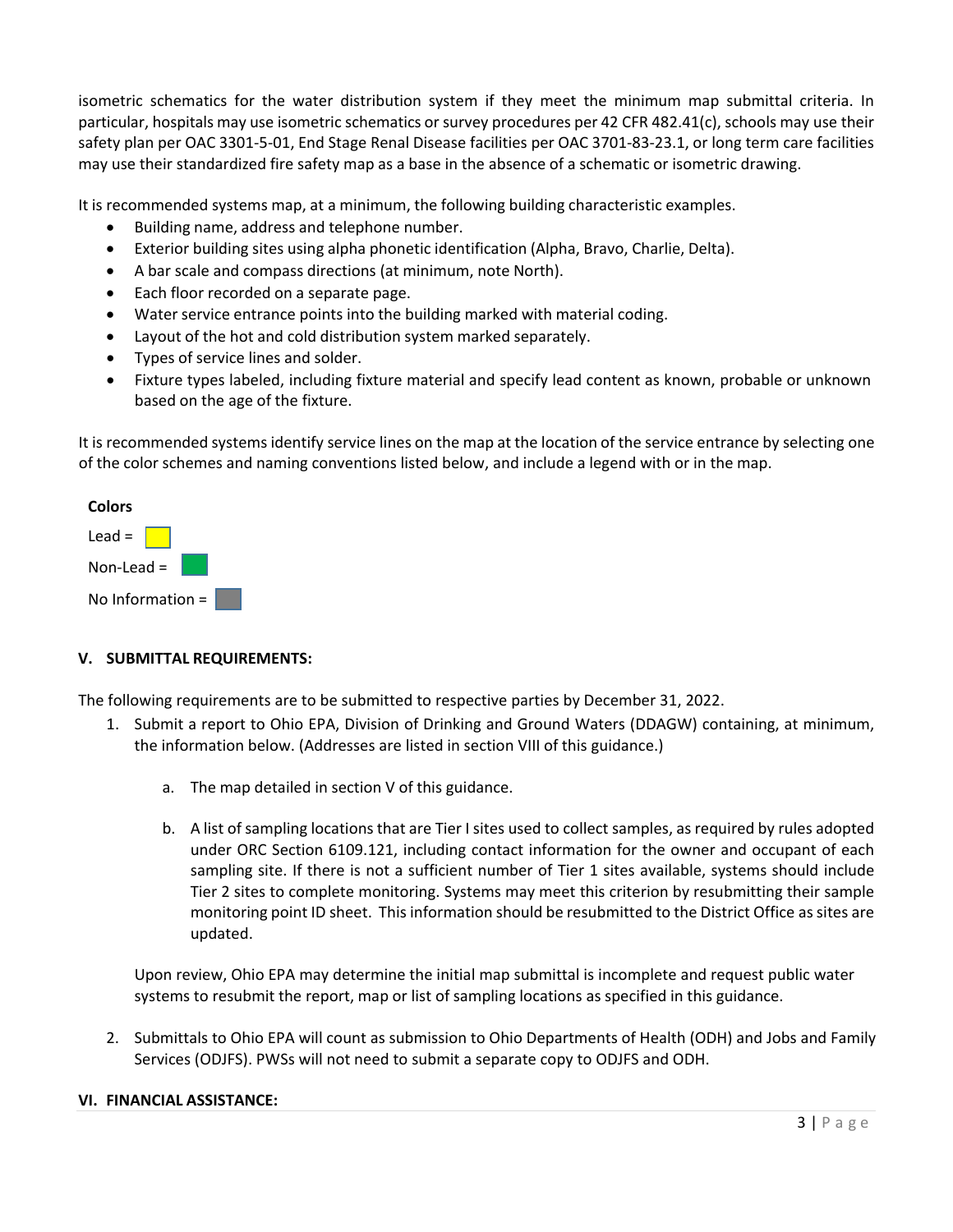isometric schematics for the water distribution system if they meet the minimum map submittal criteria. In particular, hospitals may use isometric schematics or survey procedures per 42 CFR 482.41(c), schools may use their safety plan per OAC 3301-5-01, End Stage Renal Disease facilities per OAC 3701-83-23.1, or long term care facilities may use their standardized fire safety map as a base in the absence of a schematic or isometric drawing.

It is recommended systems map, at a minimum, the following building characteristic examples.

- Building name, address and telephone number.
- Exterior building sites using alpha phonetic identification (Alpha, Bravo, Charlie, Delta).
- A bar scale and compass directions (at minimum, note North).
- Each floor recorded on a separate page.
- Water service entrance points into the building marked with material coding.
- Layout of the hot and cold distribution system marked separately.
- Types of service lines and solder.
- Fixture types labeled, including fixture material and specify lead content as known, probable or unknown based on the age of the fixture.

It is recommended systems identify service lines on the map at the location of the service entrance by selecting one of the color schemes and naming conventions listed below, and include a legend with or in the map.



# **V. SUBMITTAL REQUIREMENTS:**

The following requirements are to be submitted to respective parties by December 31, 2022.

- 1. Submit a report to Ohio EPA, Division of Drinking and Ground Waters (DDAGW) containing, at minimum, the information below. (Addresses are listed in section VIII of this guidance.)
	- a. The map detailed in section V of this guidance.
	- b. A list of sampling locations that are Tier I sites used to collect samples, as required by rules adopted under ORC Section 6109.121, including contact information for the owner and occupant of each sampling site. If there is not a sufficient number of Tier 1 sites available, systems should include Tier 2 sites to complete monitoring. Systems may meet this criterion by resubmitting their sample monitoring point ID sheet. This information should be resubmitted to the District Office as sites are updated.

Upon review, Ohio EPA may determine the initial map submittal is incomplete and request public water systems to resubmit the report, map or list of sampling locations as specified in this guidance.

2. Submittals to Ohio EPA will count as submission to Ohio Departments of Health (ODH) and Jobs and Family Services (ODJFS). PWSs will not need to submit a separate copy to ODJFS and ODH.

### **VI. FINANCIAL ASSISTANCE:**